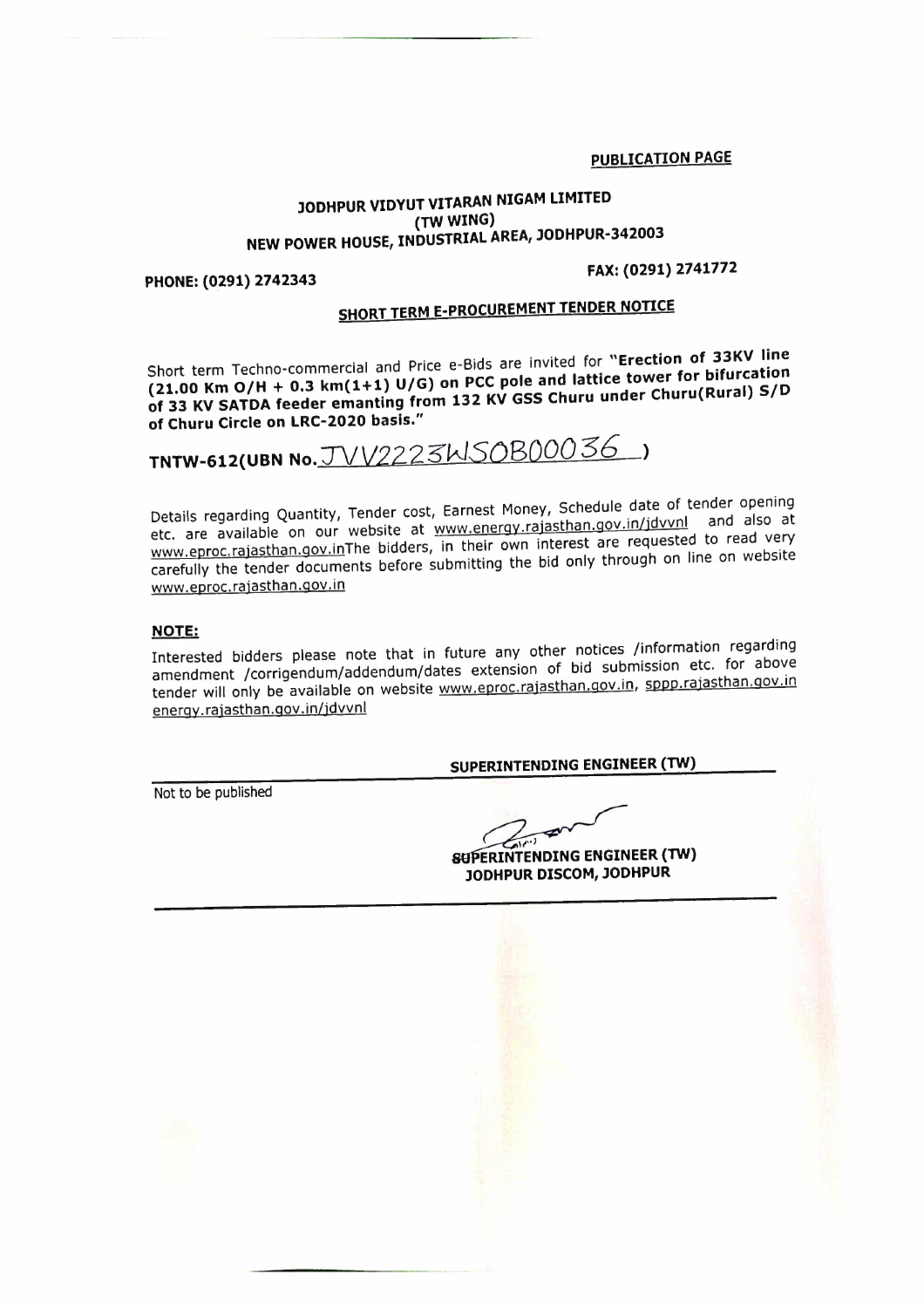**PUBLICATION PAGE** 

## **JODHPUR VIDYUT VITARAN NIGAM LIMITED (TWWING) NEW POWER HOUSE, INDUSTRIAL AREA, JODHPUR-342003**

### **PHONE: (0291) 2742343**

### **FAX:(0291)2741772**

# **SHORT TERM E·PROCUREMENT TENDER NOTICE**

Short term Techno-commerclal and Price e-Bids are invited for **"Erection of 33KV line (21.00 Km 0/H + 0.3 km(1+1) U/G) on PCC pole and lattice tower for bifurcation**  of 33 KV SATDA feeder emanting from 132 KV GSS Churu under Churu(Rural) S/D **of Churu Circle on LRC-2020 basis."** 

**TNTW-612(UBN** No.TVV2223"WSQB0OO36 )

Details regarding Quantity, Tender cost, Earnest Money, Schedule date of tender opening etc. are available on our website at www.energy.rajasthan.gov.in/jdvvnl and also at www.eproc.rajasthan.gov.inThe bidders, in their own interest are requested to read very carefully the tender documents before submitting the bid only through on line on website www.eproc.raiasthan.qov.in

### **NOTE:**

Interested bidders please note that in future any other notices /information regarding amendment /corrigendum/addendum/dates extension of bid submission etc. for above tender will only be available on website www.eproc.rajasthan.gov.in, sppp.rajasthan.gov.in energy. rajasthan.qov. in/jdvvnl

### **SUPERINTENDING ENGINEER (TW}**

Not to be published

 $\overline{y}$ 

**ERINTENDING ENGINEER (TW} JODHPUR DISCOM, JODHPUR** 

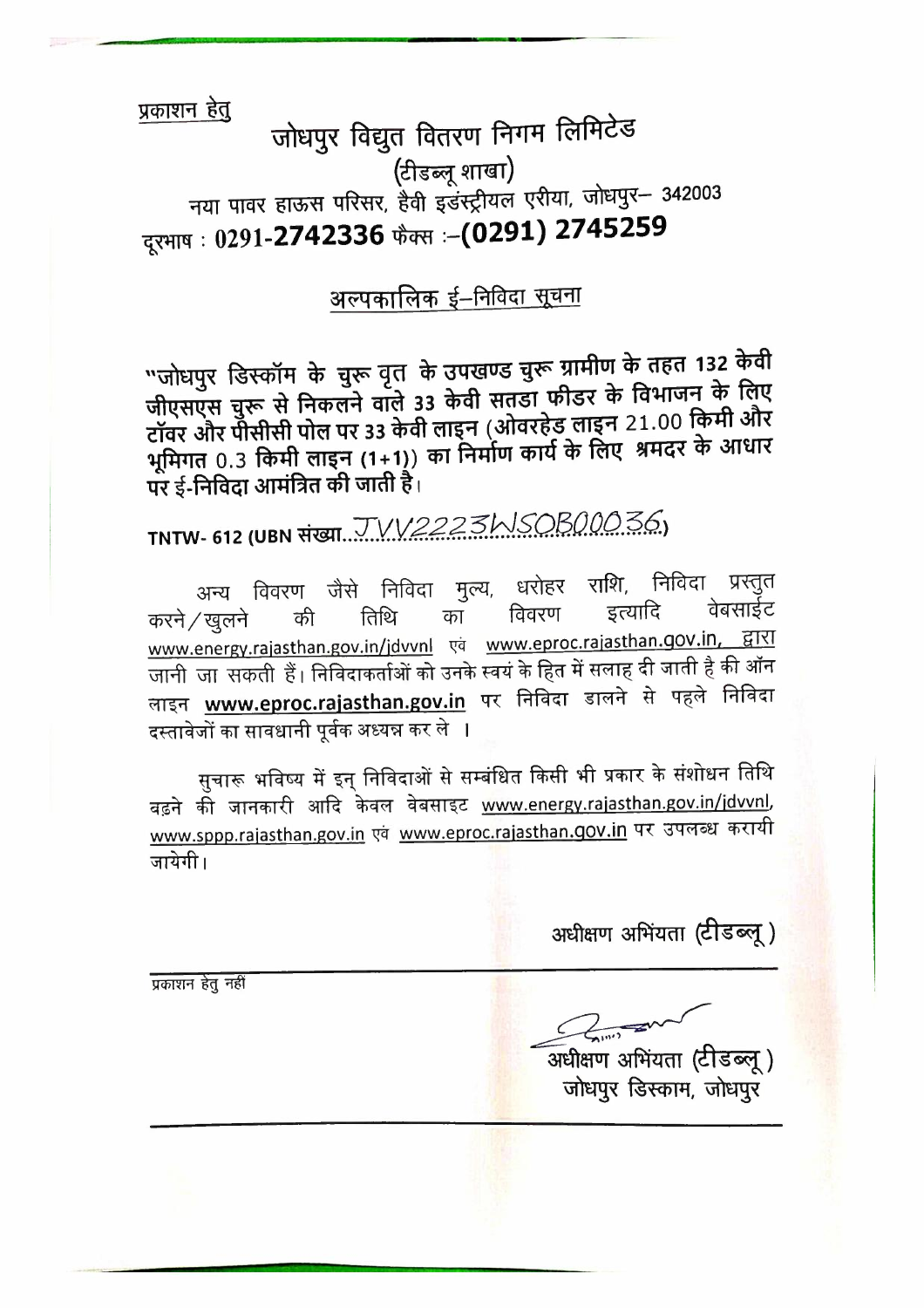प्रकाशन हेतू

# जोधपुर विद्युत वितरण निगम लिमिटेड (टीडब्लू शाखा) नया पावर हाऊस परिसर, हैवी इंडस्ट्रीयल एरीया, जोधपुर- 342003 दूरभाष : 0291-2742336 फैक्स :- (0291) 2745259

# अल्पकालिक ई–निविदा सूचना

"जोधपुर डिस्कॉम के चुरू वृत के उपखण्ड चुरू ग्रामीण के तहत 132 केवी जीएसएस चुरू से निकलने वाले 33 केवी सतडा फीडर के विभाजन के लिए टॉवर और पोसीसी पोल पर 33 केवी लाइन (ओवरहेड लाइन 21.00 किमी और भूमिगत 0.3 किमी लाइन (1+1)) का निर्माण कार्य के लिए श्रमदर के आधार पर ई-निविदा आमंत्रित की जाती है।

TNTW- 612 (UBN संख्या... JVV2223MSOB00036.)

अन्य विवरण जैसे निविदा मुल्य, धरोहर राशि, निविदा प्रस्तुत वेबसाईट इत्यादि विवरण करने ⁄ खलने तिथि का की www.energy.rajasthan.gov.in/jdvvnl एवं www.eproc.rajasthan.gov.in, द्वारा जानी जा सकती हैं। निविदाकर्ताओं को उनके स्वयं के हित में सलाह दी जाती है की ऑन लाइन <u>www.eproc.rajasthan.gov.in</u> पर निविदा डालने से पहले निविदा दस्तावेजों का सावधानी पूर्वक अध्यन्न कर ले ।

सुचारू भविष्य में इन् निविदाओं से सम्बंधित किसी भी प्रकार के संशोधन तिथि बढ़ने की जानकारी आदि केवल वेबसाइट www.energy.rajasthan.gov.in/jdvvnl, www.sppp.rajasthan.gov.in एवं www.eproc.rajasthan.gov.in पर उपलब्ध करायी जायेगी।

अधीक्षण अभिंयता (टीडब्लू)

प्रकाशन हेतू नहीं

अधीक्षण अभियता (टीडब्लू) जोधपुर डिस्काम, जोधपुर